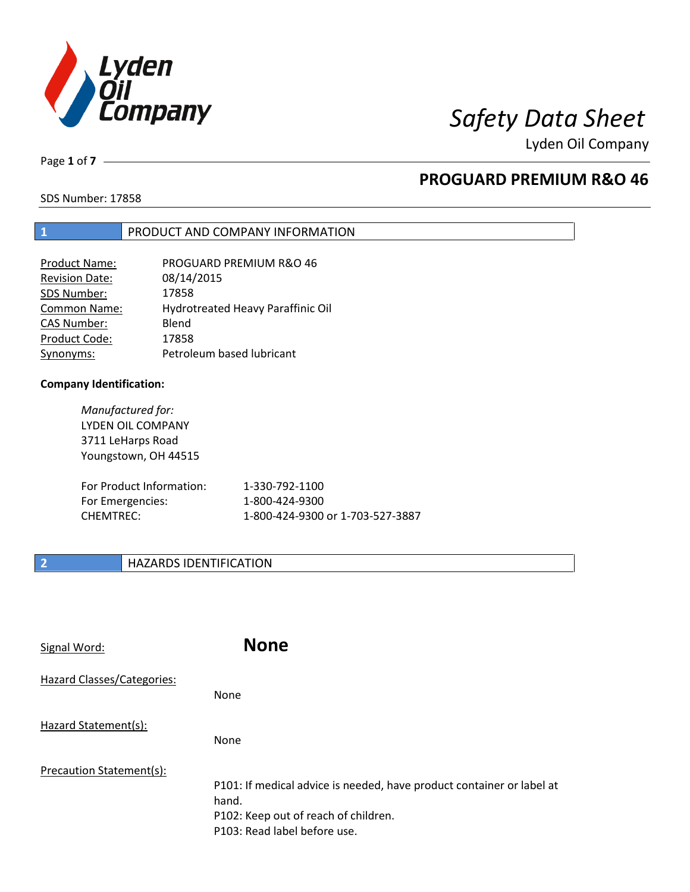

Lyden Oil Company

Page **1** of **7**

# **PROGUARD PREMIUM R&O 46**

SDS Number: 17858

## **1** PRODUCT AND COMPANY INFORMATION

| Product Name:         | PROGUARD PREMIUM R&O 46           |
|-----------------------|-----------------------------------|
| <b>Revision Date:</b> | 08/14/2015                        |
| SDS Number:           | 17858                             |
| Common Name:          | Hydrotreated Heavy Paraffinic Oil |
| <b>CAS Number:</b>    | Blend                             |
| Product Code:         | 17858                             |
| Synonyms:             | Petroleum based lubricant         |

## **Company Identification:**

*Manufactured for:*  LYDEN OIL COMPANY 3711 LeHarps Road Youngstown, OH 44515

| For Product Information: | 1-330-792-1100                   |
|--------------------------|----------------------------------|
| For Emergencies:         | 1-800-424-9300                   |
| CHEMTREC:                | 1-800-424-9300 or 1-703-527-3887 |

# **2 HAZARDS IDENTIFICATION**

| Signal Word:               | <b>None</b>                                                                                                                                            |
|----------------------------|--------------------------------------------------------------------------------------------------------------------------------------------------------|
| Hazard Classes/Categories: | <b>None</b>                                                                                                                                            |
| Hazard Statement(s):       | <b>None</b>                                                                                                                                            |
| Precaution Statement(s):   | P101: If medical advice is needed, have product container or label at<br>hand.<br>P102: Keep out of reach of children.<br>P103: Read label before use. |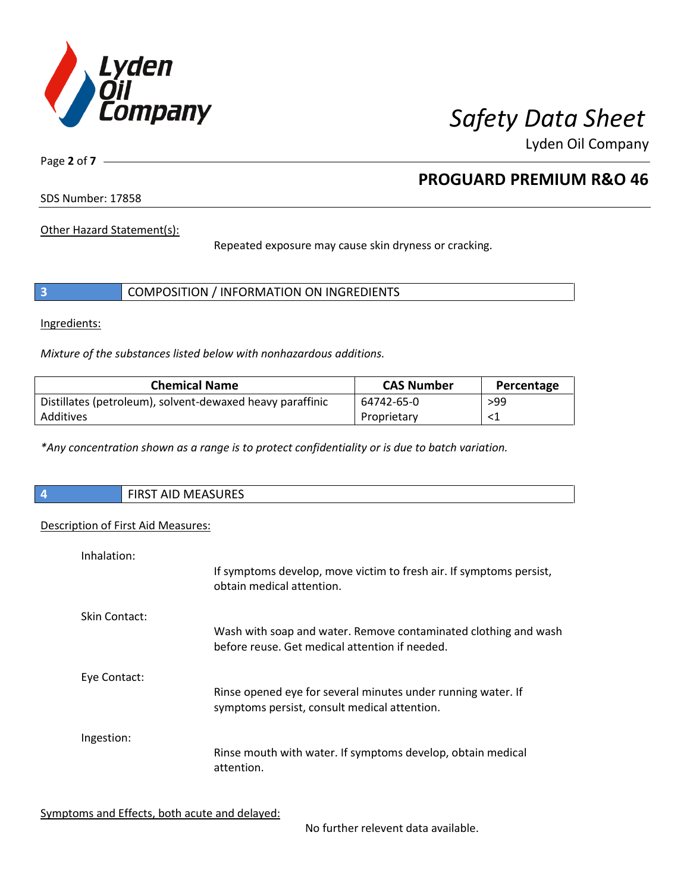

Lyden Oil Company

Page **2** of **7**

# **PROGUARD PREMIUM R&O 46**

SDS Number: 17858

Other Hazard Statement(s):

Repeated exposure may cause skin dryness or cracking.

|  | COMPOSITION / INFORMATION ON INGREDIENTS |  |
|--|------------------------------------------|--|
|--|------------------------------------------|--|

Ingredients:

*Mixture of the substances listed below with nonhazardous additions.* 

| <b>Chemical Name</b>                                      | <b>CAS Number</b> | Percentage |
|-----------------------------------------------------------|-------------------|------------|
| Distillates (petroleum), solvent-dewaxed heavy paraffinic | 64742-65-0        | >99        |
| Additives                                                 | Proprietary       |            |

*\*Any concentration shown as a range is to protect confidentiality or is due to batch variation.*

| $\overline{\phantom{a}}$ | FIRST AID MEASURES |
|--------------------------|--------------------|
|                          |                    |

## Description of First Aid Measures:

| Inhalation:   | If symptoms develop, move victim to fresh air. If symptoms persist,<br>obtain medical attention.                  |
|---------------|-------------------------------------------------------------------------------------------------------------------|
| Skin Contact: | Wash with soap and water. Remove contaminated clothing and wash<br>before reuse. Get medical attention if needed. |
| Eye Contact:  | Rinse opened eye for several minutes under running water. If<br>symptoms persist, consult medical attention.      |
| Ingestion:    | Rinse mouth with water. If symptoms develop, obtain medical<br>attention.                                         |

Symptoms and Effects, both acute and delayed:

No further relevent data available.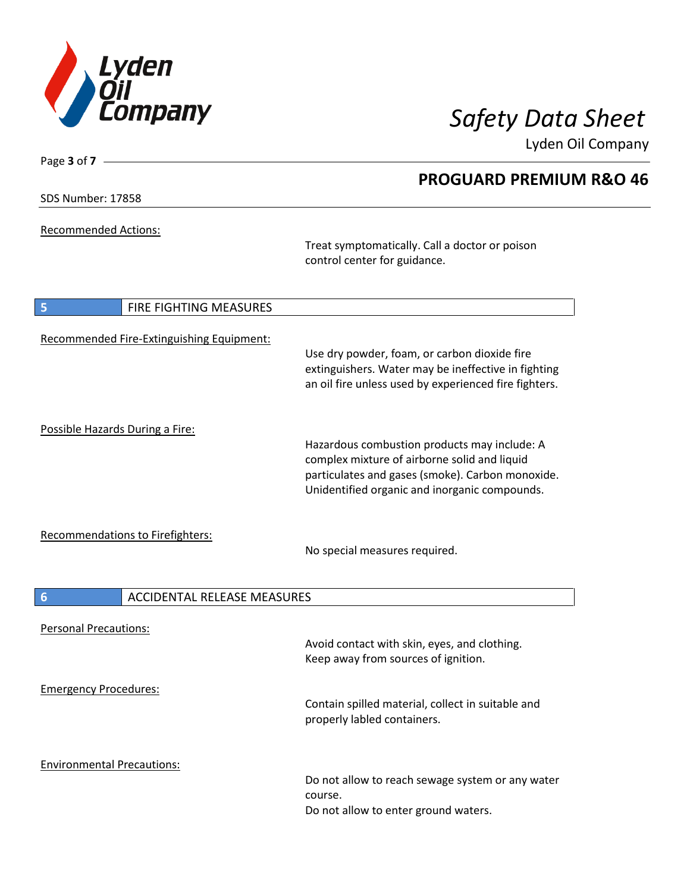

**PROGUARD PREMIUM R&O 46**

Lyden Oil Company

SDS Number: 17858

Page **3** of **7**

Recommended Actions:

Treat symptomatically. Call a doctor or poison control center for guidance.

| 5                                 | <b>FIRE FIGHTING MEASURES</b>             |                                                                                                                                                                                                   |
|-----------------------------------|-------------------------------------------|---------------------------------------------------------------------------------------------------------------------------------------------------------------------------------------------------|
|                                   | Recommended Fire-Extinguishing Equipment: | Use dry powder, foam, or carbon dioxide fire<br>extinguishers. Water may be ineffective in fighting<br>an oil fire unless used by experienced fire fighters.                                      |
| Possible Hazards During a Fire:   |                                           | Hazardous combustion products may include: A<br>complex mixture of airborne solid and liquid<br>particulates and gases (smoke). Carbon monoxide.<br>Unidentified organic and inorganic compounds. |
|                                   | <b>Recommendations to Firefighters:</b>   | No special measures required.                                                                                                                                                                     |
| $6\overline{6}$                   | <b>ACCIDENTAL RELEASE MEASURES</b>        |                                                                                                                                                                                                   |
| <b>Personal Precautions:</b>      |                                           | Avoid contact with skin, eyes, and clothing.<br>Keep away from sources of ignition.                                                                                                               |
| <b>Emergency Procedures:</b>      |                                           | Contain spilled material, collect in suitable and<br>properly labled containers.                                                                                                                  |
| <b>Environmental Precautions:</b> |                                           | Do not allow to reach sewage system or any water<br>course.<br>Do not allow to enter ground waters.                                                                                               |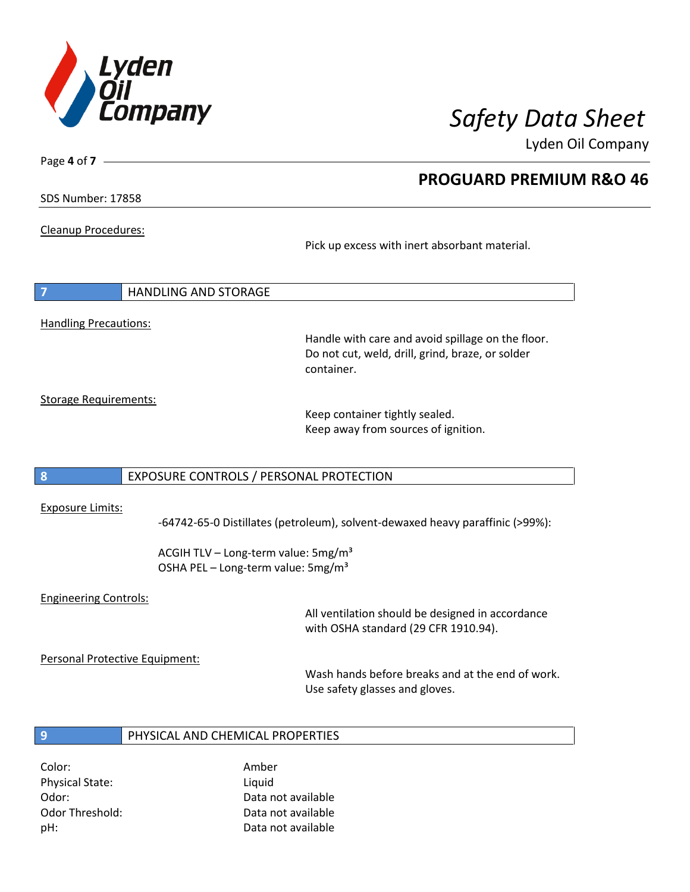

**PROGUARD PREMIUM R&O 46**

Lyden Oil Company

SDS Number: 17858

Page **4** of **7**

Cleanup Procedures:

Pick up excess with inert absorbant material.

**7** HANDLING AND STORAGE Handling Precautions:

Handle with care and avoid spillage on the floor. Do not cut, weld, drill, grind, braze, or solder container.

Storage Requirements:

Keep container tightly sealed. Keep away from sources of ignition.

## **8** EXPOSURE CONTROLS / PERSONAL PROTECTION

### Exposure Limits:

-64742-65-0 Distillates (petroleum), solvent-dewaxed heavy paraffinic (>99%):

ACGIH TLV – Long-term value:  $5mg/m<sup>3</sup>$ OSHA PEL - Long-term value: 5mg/m<sup>3</sup>

## Engineering Controls:

All ventilation should be designed in accordance with OSHA standard (29 CFR 1910.94).

Personal Protective Equipment:

Wash hands before breaks and at the end of work. Use safety glasses and gloves.

## **9** PHYSICAL AND CHEMICAL PROPERTIES

Color: Amber Physical State: Liquid pH: Data not available

Odor: Data not available Odor Threshold: Data not available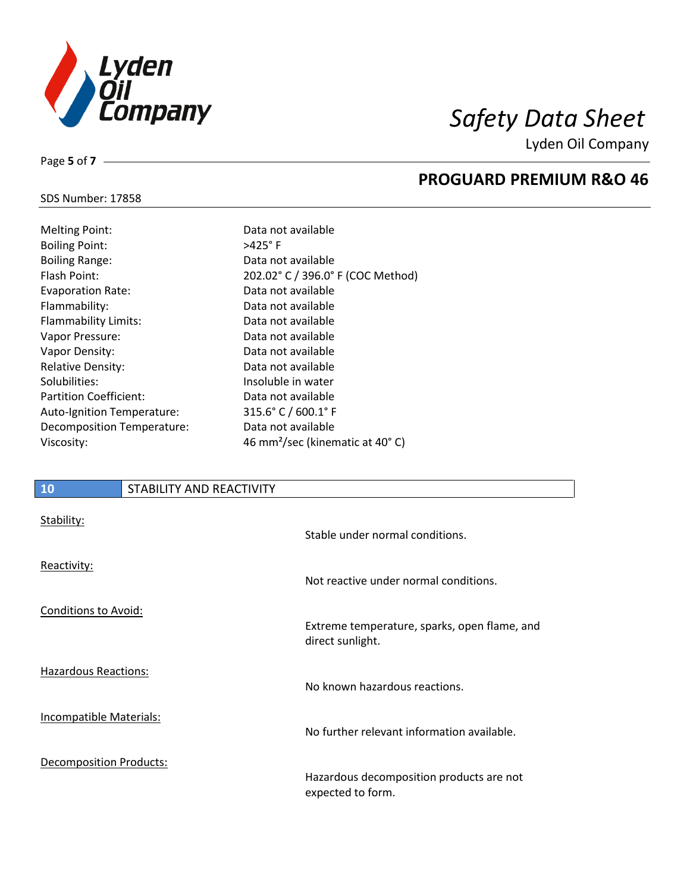

**PROGUARD PREMIUM R&O 46**

Lyden Oil Company

## SDS Number: 17858

Page **5** of **7**

| <b>Melting Point:</b>         | Data not available                     |
|-------------------------------|----------------------------------------|
| <b>Boiling Point:</b>         | $>425^\circ$ F                         |
| <b>Boiling Range:</b>         | Data not available                     |
| Flash Point:                  | 202.02° C / 396.0°                     |
| <b>Evaporation Rate:</b>      | Data not available                     |
| Flammability:                 | Data not available                     |
| Flammability Limits:          | Data not available                     |
| Vapor Pressure:               | Data not available                     |
| Vapor Density:                | Data not available                     |
| <b>Relative Density:</b>      | Data not available                     |
| Solubilities:                 | Insoluble in water                     |
| <b>Partition Coefficient:</b> | Data not available                     |
| Auto-Ignition Temperature:    | $315.6^{\circ}$ C / 600.1 $^{\circ}$ F |
| Decomposition Temperature:    | Data not available                     |
| Viscosity:                    | 46 mm <sup>2</sup> /sec (kinen         |

# 6.0° F (COC Method)  $S$ inematic at 40 $\degree$  C)

## **10** STABILITY AND REACTIVITY

| Stability:                     | Stable under normal conditions.                                  |
|--------------------------------|------------------------------------------------------------------|
| Reactivity:                    | Not reactive under normal conditions.                            |
| <b>Conditions to Avoid:</b>    | Extreme temperature, sparks, open flame, and<br>direct sunlight. |
| <b>Hazardous Reactions:</b>    | No known hazardous reactions.                                    |
| Incompatible Materials:        | No further relevant information available.                       |
| <b>Decomposition Products:</b> | Hazardous decomposition products are not<br>expected to form.    |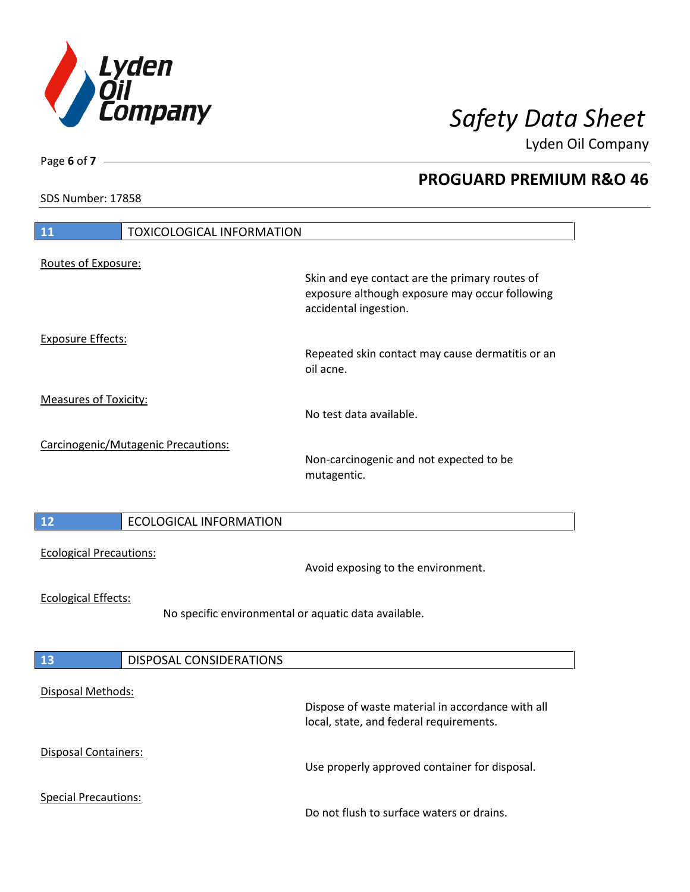

**PROGUARD PREMIUM R&O 46**

Lyden Oil Company

SDS Number: 17858

# **11** TOXICOLOGICAL INFORMATION Routes of Exposure: Skin and eye contact are the primary routes of exposure although exposure may occur following accidental ingestion. Exposure Effects: Repeated skin contact may cause dermatitis or an oil acne. Measures of Toxicity: No test data available. Carcinogenic/Mutagenic Precautions: Non-carcinogenic and not expected to be mutagentic. **12** ECOLOGICAL INFORMATION Ecological Precautions: Avoid exposing to the environment. Ecological Effects: No specific environmental or aquatic data available. **13** DISPOSAL CONSIDERATIONS Disposal Methods: Dispose of waste material in accordance with all local, state, and federal requirements. Disposal Containers: Use properly approved container for disposal. Special Precautions: Do not flush to surface waters or drains.

Page **6** of **7**